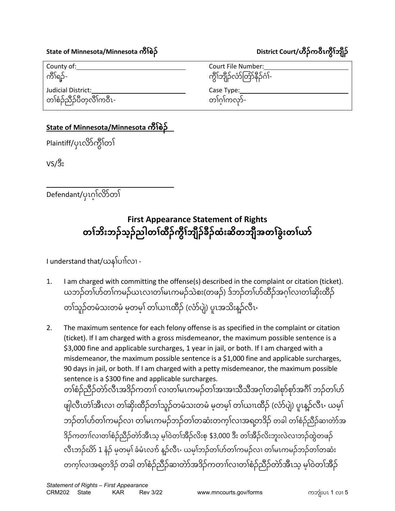## **State of Minnesota/Minnesota ကီၢစဲၣ် ် District Court/ဟီၣ်က၀ီၤကွီၢဘျီၣ် ်**

County of: Court File Number: ကိၢိရဉ်- ကြေးသားသော ကွိုကျွေးကြေးကို ကွိုကျွေးကြေးကို ကွိုကျွေးကြေးကို ကွိုကျွေးကြ Judicial District: Case Type: Case Type: တ<sup>န်</sup>စဉ်သီဉ်ပီတ့လိ်ၤ်ကဝီၤ-ၢ်ကလုာ်-

## **State of Minnesota/Minnesota ကီၢစဲၣ် ်**

Plaintiff/ပုၤလိာ်ကွိ<sup>ု</sup>တ<sup>်</sup>၊

VS/ဒီး

Defendant/ပှၤဂ့ၢဲလိာဲတၢဲ

## **First Appearance Statement of Rights တၢဘိးဘၣ်သ့ၣ်ညါတၢ ် ထီၣ်ကွီၢ ် ဘျီၣ်ခီၣ်ထံးဆိတဘျီအတၢ ် ခွဲးတၢ ် ယာ် ်**

I understand that/ယနၢ်ပၢၢ်လၢ -

- 1. I am charged with committing the offense(s) described in the complaint or citation (ticket). ယဘဉ်တၢ်ဟိတၢ်ကမဉ်ယၤလၢတၢမၤကမဉ်သစ်း(တဖဉ်) ဒ်ဘဉ်တၢ်ဟဲထံဉ်အဂ္ဂၢလၢတၢ်ဆုံးထံဉ် တၢသူဉ်တမ်သးတမံ မ့တမဲ့၊ တၢယၢၤထံဉ် (လာပျံ) ပူၤအသီးန္၁ံလီၤႋ
- 2. The maximum sentence for each felony offense is as specified in the complaint or citation (ticket). If I am charged with a gross misdemeanor, the maximum possible sentence is a \$3,000 fine and applicable surcharges, 1 year in jail, or both. If I am charged with a misdemeanor, the maximum possible sentence is a \$1,000 fine and applicable surcharges, 90 days in jail, or both. If I am charged with a petty misdemeanor, the maximum possible sentence is a \$300 fine and applicable surcharges.

တၢ်စံၣ်ညီၣ်တဲာ်လီၤအဒိၣ်ကတၢၢ် လၢတၢ်မၤကမၣ်တၢ်အၢအၢသီသီအဂ့ ၢ်တခါစုာ်စုာ်အဂီၢ် ဘၣ်တၢ်ပာ် ဖျလ်ၤတၢ်အံၤလ၊ တၢဆုံးထံဉ်တ၊သူဉ်တမသးတမ မ့တမ့၊ တ၊ယၢၤထံဉ် (လာပျ) ပူၤန္ဥာလၤႋ ယမ့၊ ဘဉ်တၢ်ဟ်တၢ်ကမဉ်လၢ တၢ်မၤကမဉ်ဘဉ်တၢ်တဆံးတက့ၢ်လၢအရတဒိဉ် တခါ တၢ်စံဉ်ညီဉ်ဆ၊တဲာ်အ ဒီဉ်ကတၢၢလ၊တၢံစဉ်ညဉ်တာအီၤသ့ မဲ့၊ဝတၢ်အီဉ်လီးစ့ \$3,000 ဒီး တၢ်အီဉ်လီးဘူးလဲလ၊ဘဉ်ထွတဖဉ်-လီၤဘဉ်ဃာ် 1 နဉ် မဲ့တမဲ့၊ ခမၤလက် နဉ်လီၤႋ ယမ့ၢဘဉ်တၢ်ဟတၤ်ကမဉ်လၢ တ၊မၤကမဉ်ဘဉ်တ၊တဆး တက့ၢ်လၢအရတဒိၣ် ့ တခါ တၢ်စံၣ်ညီၣ်ဆၢတဲာ်အဒိၣ်ကတၢၢ်လၢတၢ်စံၣ်ညီၣ်တဲာ်အီၤသ့ မ့ ၢ်၀ဲတၢ်အီၣ်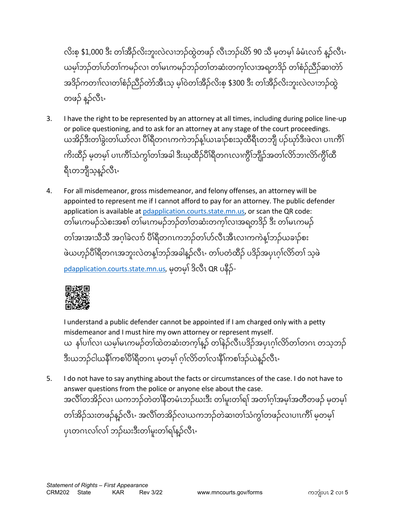လီးစ့ \$1,000 ဒီး တၢ်အံဉ်လီးဘူးလဲလၢဘဉ်ထွတ်ဖဉ် လီၤဘဉ်ဃာ 90 သီ မဲ့တမဲ့၊ ခမၤလက် နဉ်လီၤႋ ယမ့်၊ဘဉ်တ၊်ဟဲတ၊်ကမဉ်လ၊ တ၊မၤကမဉ်ဘဉ်တ၊တဆံးတကဲ့၊လ၊အရတဒ်ဉ် တ၊စ်ဉ်ညီဉ်ဆ၊တာ အဒီဉ်ကတၢါလ၊တ၊်စဉ်ညီဉ်တာအီၤသ့ မဲ့၊ဝတၢ်အီဉ်လီးစ့ \$300 ဒီး တ၊်အီဉ်လီးဘူးလလ၊ဘဉ်ထွ တဖဉ် နဉ်လီၤႋ

- 3. I have the right to be represented by an attorney at all times, including during police line-up or police questioning, and to ask for an attorney at any stage of the court proceedings. ယအိဉ်ဒီးတၢ်ခွဲးတၢ်ယာ်လၢ ပိါ်ရီတဂၤကကဲဘဉ်န့ါ်ယၤခၢဉ်စးသ့ထီရီၤတဘိုု ပဉ်ဃှာ်ဒီးဖဲလ၊ ပၢၤကိါ် ကီးထိဉ် မ့တမ့၊ ပၢၤကၤ်သကွ၊်တၢ်အခါ ဒီးဃ့ထိဉ်ပါရီတဂၤလၢကွဲ၊်ဘျဉ်အတၤ်လာဘၤလာကွဲ၊်ထိ ရီၤတဘျီသွနဉ်လီၤႋ
- 4. For all misdemeanor, gross misdemeanor, and felony offenses, an attorney will be appointed to represent me if I cannot afford to pay for an attorney. The public defender application is available a[t pdapplication.courts.state.mn.us,](https://pdapplication.courts.state.mn.us/) or scan the QR code: တၢ်မၤကမၣ်သဲစးအစၢ် တၢ်မၤကမၣ်ဘၣ်တၢ်တဆံးတက့ၢ်လၢအရတဒိၣ် ဒီး တၢ်မၤကမၣ် ့ တၢအၢအၢသံသီ အဂ္ဂၢခလက် ပါရီတဂၤကဘဉ်တ၊ဟဲလံၤအံၤလ၊ကကန့၊်ဘဉ်ယခၢဉ်စး ဖယဟ့ဉ်ပါရီတဂၤအဘူးလဲတန့်၊ဘဉ်အခါန္ဥာလၤႋ တၢပတထံဉ် ပဒိဉ်အပှၤဂုၤ်လာတၢ် သဲ့ဖ [pdapplication.courts.state.mn.us](https://pdapplication.courts.state.mn.us/), မ့ တမ့ ၢ် ဒိလီၤ QR ပနီၣ်-



I understand a public defender cannot be appointed if I am charged only with a petty misdemeanor and I must hire my own attorney or represent myself. ယ န၊ပၢါလ၊ ယမဲ့၊မၤကမဉ်တ၊ထတဆးတကဲ့၊နဉ် တ၊နဉ်လံၤပဒိဉ်အပှၤဂဲ့၊လာတ၊တဂၤ တသ့ဘဉ် ' ဒီးယဘဉ်ငါယနီ၊ကစၢ်ပါရီတဂၤ မ့တမ့၊ ဂဲ့၊လာတ၊လၢနီ၊ကစၢဒဉ်ယန္ဝံလၤႋ

5. I do not have to say anything about the facts or circumstances of the case. I do not have to answer questions from the police or anyone else about the case. အလီၢ်တအဉ်လၢ ယကဘဉ်တတၢ်နီတမၤဘဉ်ဃးဒီး တ၊မူးတ၊ရ၊် အတၢဂံ့၊အမဲ့၊အတံတဖဉ် မဲ့တမဲ့၊ တၢ်အိဉ်သးတဖဉ်နဉ်လီၤႋ အလီၢ်တအိဉ်လၢယကဘဉ်တဲဆၢတၢ်သ်ကွၢ်တဖဉ်လၢပၢၤကီၢ် မ့တမဲ့၊ ့ ပုၤတဂၤလၢ်လၢ် ဘဉ်ဃးဒီးတၢ်မူးတၢ်ရၢ်နဉ်လီၤႋ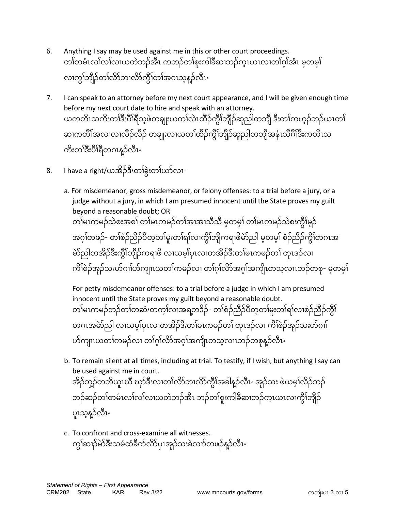- 6. Anything I say may be used against me in this or other court proceedings. တၢံတမ်ၤလၢလ၊လယတ်ဘဉ်အီၤ ကဘဉ်တၢ်စူးကါခံဆ၊ဘဉ်ကဲ့ၤယၤလ၊တၢဂံ့၊အဲၤ မ့တမဲ့၊ လၢက္ခါ်ဘျီဉ်တၢ်လိာ်ဘၢလိာ်ကွီၢ်တၢ်အဂၤသွနဉ်လီၤႋ
- 7. I can speak to an attorney before my next court appearance, and I will be given enough time before my next court date to hire and speak with an attorney. ယကတိၤသကိးတၢ်ဒီးပိါရီသ့ဖဲတချုးယတၢ်လဲၤထိဉ်ကွိၢ်ဘျီဉ်ဆူညါတဘျီ ဒီးတၢ်ကဟ့ဉ်ဘဉ်ယၤတၢ် ဆၢကတီၢ်အလၢလၢလီၣ်လီၣ် တချုးလၢယတၢ်ထီၣ်ကွီၢ်ဘျီၣ်ဆူညါတဘျီအနံၤသီဂီၢ်ဒီးကတိၤသ ကိုးတျ်ဒီးပီ<u>၊ရီ</u>တဂၤနဉ်လီၤႋ
- 8. I have a right/ယအိၣ်ဒီးတၢ်ခွဲးတၢ်ယာ်လၢ
	- a. For misdemeanor, gross misdemeanor, or felony offenses: to a trial before a jury, or a judge without a jury, in which I am presumed innocent until the State proves my guilt beyond a reasonable doubt; OR တၢမၤကမဉ်သစ်းအစၢ် တၢမၤကမဉ်တၢ်အၢအၢသံသံ မ့တမဲ့၊ တ၊မၤကမဉ်သစ်းကွဲ၊မှဉ်-အဂ္ဂၢိတဖဉ်- တၢံစဉ်ညီဉ်ပီတဲ့တၢမူးတၢံရ၊လၢကွဲ၊ဘျကရ၊ဖိမာည၊ မ့တမ့၊ စဉ်ညီဉ်ကွဲ၊တဂၤအ မာညါတအိဉ်ဒီးကွီၢ်ဘျီဉ်ကရၢဖိ လၢယမ့်၊ပှၤလၢတအိဉ်ဒီးတၢမၤကမဉ်တ၊ တုၤဒဉ်လၢ ကိၢစဉ်အုဉ်သးဟဲဂၢၢဟဲကျ၊ၤယတၢ်ကမဉ်လ၊ တၢဂံ့၊လာအဂံ့၊အကျုံဟသ့လၢၤဘဉ်တစု- မ့တမဲ့၊

For petty misdemeanor offenses: to a trial before a judge in which I am presumed innocent until the State proves my guilt beyond a reasonable doubt. တၢ်မၤကမဉ်ဘဉ်တၢ်တဆံးတက္၊်လၢအရတဒိဉ်- တၢ်စံဉ်ညီဉ်ပီတ္တတ၊်မူးတ၊်ရ၊်လၢစံဉ်ညီဉ်ကွီ၊် တဂၤအမဲာ်ညါ လၢယမ့ ၢ်ပှၤလၢတအိၣ်ဒီးတၢ်မၤကမၣ်တၢ် တုၤဒၣ်လၢ ကီၢ်စဲၣ်အုၣ်သးပာ်ဂၢၢ် တံကျ၊ၤယတၢကမဉ်လ၊ တၢဂံ့၊်လာအဂ္ဂ၊အကျ၊တသ့လၢ၊ဘဉ်တစုနဉ်လံၤ۰

- b. To remain silent at all times, including at trial. To testify, if I wish, but anything I say can be used against me in court. အိဉ်ဘူ့ဉ်တဘိယူၤဃိ ဃုာ်ဒီးလၢတၢ်လာဘၢလာကွီ၊အခါန္ဥာလံၤႋ အုဉ်သး ဖယမ့်၊လ်ဉ်ဘဉ် ဘဉ်ဆဉ်တၢ်တမံၤလၢ်လ၊လယတဲဘဉ်အီၤ ဘဉ်တၢ်စူးကါခီဆ၊ဘဉ်ကူၤယၤလၢကွိၢ်ဘိုုဉ် ပူးသွန္၌လီၤႋ
- c. To confront and cross-examine all witnesses. ကွၢ်ဆၢဉ်မဲာ်ဒီးသမံထံခ်ီက်လိာ်ပုၤအုဉ်သးခဲလၢာ်တဖဉ်နှဉ်လီၤႋ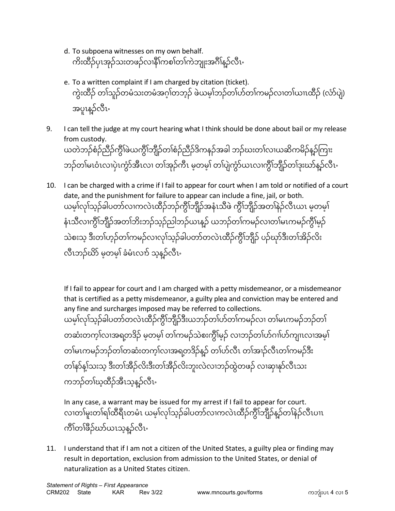- d. To subpoena witnesses on my own behalf. ကိးထိဉ်ပုၤအုဉ်သးတဖဉ်လၢနိဵၢ်ကစၢ်တၢ်ကဲဘျုးအဂီၢ်န္ဉာ်လီၤႋ
- e. To a written complaint if I am charged by citation (ticket). ကွးထိဉ် တၢသူဉ်တမသးတမအဂ္ဂၢတဘုဉ် ဖယမ့်၊ဘဉ်တၢဟတ၊ကမဉ်လ၊တ၊ယ၊ၤထိဉ် (လာပျ) အပူၤန္၌လီၤႋ
- 9. I can tell the judge at my court hearing what I think should be done about bail or my release from custody. ယတဲဘဉ်စံဉ်ညီဉ်ကွီၢ်ဖဲယကွိၢ်ဘျီဉ်တၢ်စံဉ်ညီဉ်ဒိကနဉ်အခါ ဘဉ်ဃးတၢ်လ၊ယဆိကမိဉ်နှဉ်ကြၢး ဘဉ်တ၊မၤဝၤလၢပှၤကွာအီၤလ၊ တၢအုဉ်ကၤ မ့တမ့၊ တ၊ပျကွာယၤလၢကွဲ၊ဘျဉ်တ၊ဒုးဃာန့ဉ်လံၤႋ
- 10. I can be charged with a crime if I fail to appear for court when I am told or notified of a court date, and the punishment for failure to appear can include a fine, jail, or both. ယမဲ့၊လုၢသုဉ်ခါပတာလၢကလၤထိဉ်ဘဉ်ကွဲ၊ဘျဉ်အနၤသံဖ ကွဲ၊ဘျဉ်အတၢနဉ်လံၤယၤ မဲ့တမဲ့၊ န်ၤသီလၢကွဲၢ်ဘျံဉ်အတၢ်ဘီးဘဉ်သူဉ်ညါဘဉ်ယၤန္၌ ယဘဉ်တၢ်ကမဉ်လ၊တ၊မၤကမဉ်ကွဲ၊မှဉ် သဲစးသ့ ဒီးတၢ်ဟွဉ်တၢ်ကမဉ်လၢလု၊်သွဉ်ခါပတာ်တလဲၤထီဉ်ကွိၢ်ဘျီဉ် ပဉ်ဃှာ်ဒီးတၢ်အိဉ်လိး လံၤဘဉ်ဃာ် မဲ့တမဲ့၊ ခမၤလၢာ် သဲ့နဉ်လံၤႋ

If I fail to appear for court and I am charged with a petty misdemeanor, or a misdemeanor that is certified as a petty misdemeanor, a guilty plea and conviction may be entered and any fine and surcharges imposed may be referred to collections. ယမဲ့၊လုၢ်သူဉ်ခါပတာတလၤထိဉ်ကွဲ၊်ဘျီဉ်ဒီးယဘဉ်တၤ်တ်တ၊်ကမဉ်လ၊ တ၊မၤကမဉ်ဘဉ်တ၊ တဆးတကဲ့၊လ၊အရတဒ်ဉ် မဲ့တမဲ့၊ တ၊ကမဉ်သစးကွဲ၊မှဉ် လ၊ဘဉ်တ၊ဟ်ဂၢ၊ဟ်ကျ၊ၤလ၊အမဲ့၊ တၢ်မၤကမဉ်ဘဉ်တၢ်တဆံးတက့ၢ်လၢအရတဒိဉ်နှဉ် တၢ်ဟ်လီၤ တၢ်အၢဉ်လီၤတၢ်ကမဉ်ဒီး တၢ်နာ်နျ်သးသ့ ဒီးတၢ်အီဉ်လိးဒီးတၢ်အီဉ်လိးဘူးလဲလ၊ဘဉ်ထွဲတဖဉ် လ၊ဆု၊နှာ်လီၤသး ကဘဉ်တၢ်ဃ့ထိဉ်အီၤသ့န္နာ်လီၤႋ

In any case, a warrant may be issued for my arrest if I fail to appear for court. လၢတၢမူးတ၊ရ၊်ထံရီၤတမၤ ယမ့၊်လု၊သ္ဥခါပတာလ၊ကလၤထံဥ်ကွဲ၊ဘျဉ်နဉ်တ၊နဉ်လံၤပၢၤ ကိၢ်တၢ်ဖိဉ်ဃာ်ယၤသ့နဉ်လီၤႋ

11. I understand that if I am not a citizen of the United States, a guilty plea or finding may result in deportation, exclusion from admission to the United States, or denial of naturalization as a United States citizen.